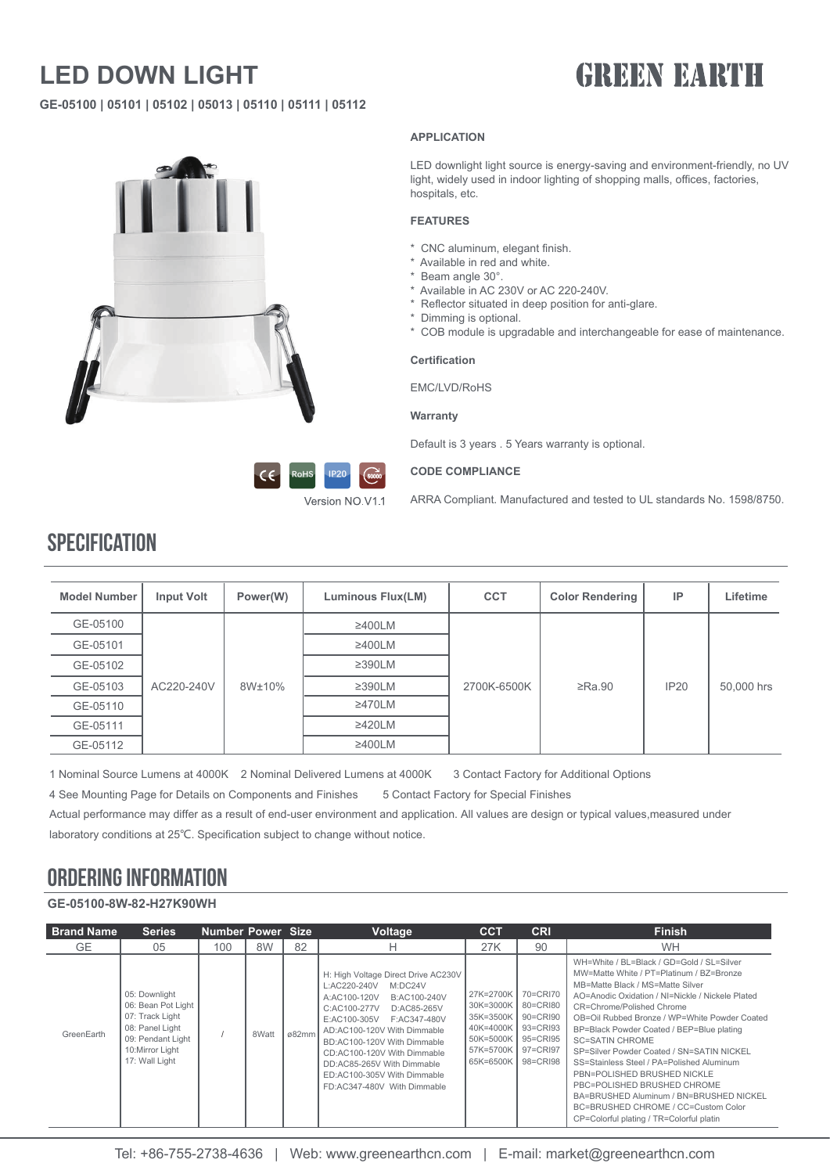## **LED DOWN LIGHT**

## **GREEN BARTH**

**GE-05100 | 05101 | 05102 | 05013 | 05110 | 05111 | 05112**



#### **APPLICATION**

LED downlight light source is energy-saving and environment-friendly, no UV light, widely used in indoor lighting of shopping malls, offices, factories, hospitals, etc.

#### **FEATURES**

- \* CNC aluminum, elegant finish.
- \* Available in red and white.
- \* Beam angle 30°.
- \* Available in AC 230V or AC 220-240V.
- \* Reflector situated in deep position for anti-glare.
- \* Dimming is optional.
- \* COB module is upgradable and interchangeable for ease of maintenance.

#### **Certification**

EMC/LVD/RoHS

#### **Warranty**

Default is 3 years . 5 Years warranty is optional.



#### **CODE COMPLIANCE**

Version NO.V1.1

ARRA Compliant. Manufactured and tested to UL standards No. 1598/8750.

| <b>Model Number</b> | <b>Input Volt</b> | Power(W) | Luminous Flux(LM) | <b>CCT</b>  | <b>Color Rendering</b> | IP          | Lifetime   |
|---------------------|-------------------|----------|-------------------|-------------|------------------------|-------------|------------|
| GE-05100            |                   |          | $\geq$ 400LM      |             |                        |             |            |
| GE-05101            |                   |          | $\geq$ 400LM      |             |                        |             |            |
| GE-05102            |                   |          | $\geq$ 390LM      |             |                        |             |            |
| GE-05103            | AC220-240V        | 8W±10%   | $\geq$ 390LM      | 2700K-6500K | $\geq$ Ra.90           | <b>IP20</b> | 50,000 hrs |
| GE-05110            |                   |          | $\geq$ 470LM      |             |                        |             |            |
| GE-05111            |                   |          | $\geq$ 420LM      |             |                        |             |            |
| GE-05112            |                   |          | $\geq$ 400LM      |             |                        |             |            |

1 Nominal Source Lumens at 4000K 2 Nominal Delivered Lumens at 4000K 3 Contact Factory for Additional Options

4 See Mounting Page for Details on Components and Finishes 5 Contact Factory for Special Finishes

Actual performance may differ as a result of end-user environment and application. All values are design or typical values,measured under laboratory conditions at 25℃. Specification subject to change without notice.

#### ORDERING INFORMATION

**GE-05100-8W-82-H27K90WH**

| <b>Brand Name</b> | <b>Series</b>                                                                                                                       | <b>Number Power Size</b> |       |       | <b>Voltage</b>                                                                                                                                                                                                                                                                                                                                         | <b>CCT</b>                                                                              | <b>CRI</b>                                                                       | <b>Finish</b>                                                                                                                                                                                                                                                                                                                                                                                                                                                                                                                                                                                                            |
|-------------------|-------------------------------------------------------------------------------------------------------------------------------------|--------------------------|-------|-------|--------------------------------------------------------------------------------------------------------------------------------------------------------------------------------------------------------------------------------------------------------------------------------------------------------------------------------------------------------|-----------------------------------------------------------------------------------------|----------------------------------------------------------------------------------|--------------------------------------------------------------------------------------------------------------------------------------------------------------------------------------------------------------------------------------------------------------------------------------------------------------------------------------------------------------------------------------------------------------------------------------------------------------------------------------------------------------------------------------------------------------------------------------------------------------------------|
| GE.               | 05                                                                                                                                  | 100                      | 8W    | 82    | н                                                                                                                                                                                                                                                                                                                                                      | 27K                                                                                     | 90                                                                               | <b>WH</b>                                                                                                                                                                                                                                                                                                                                                                                                                                                                                                                                                                                                                |
| GreenEarth        | 05: Downlight<br>06: Bean Pot Light<br>07: Track Light<br>08: Panel Light<br>09: Pendant Light<br>10:Mirror Light<br>17: Wall Light |                          | 8Watt | ø82mm | H: High Voltage Direct Drive AC230V<br>L:AC220-240V<br>M:DC24V<br>A:AC100-120V<br>B:AC100-240V<br>C:AC100-277V<br>D:AC85-265V<br>F:AC347-480V<br>E:AC100-305V<br>AD:AC100-120V With Dimmable<br>BD:AC100-120V With Dimmable<br>CD:AC100-120V With Dimmable<br>DD:AC85-265V With Dimmable<br>ED:AC100-305V With Dimmable<br>FD:AC347-480V With Dimmable | 27K=2700K<br>30K=3000K<br>35K=3500K<br>40K=4000K<br>50K=5000K<br>57K=5700K<br>65K=6500K | 70=CRI70<br>80=CRI80<br>90=CRI90<br>93=CRI93<br>95=CRI95<br>97=CRI97<br>98=CRI98 | WH=White / BL=Black / GD=Gold / SL=Silver<br>MW=Matte White / PT=Platinum / BZ=Bronze<br>MB=Matte Black / MS=Matte Silver<br>AO=Anodic Oxidation / NI=Nickle / Nickele Plated<br>CR=Chrome/Polished Chrome<br>OB=Oil Rubbed Bronze / WP=White Powder Coated<br>BP=Black Powder Coated / BEP=Blue plating<br><b>SC=SATIN CHROME</b><br>SP=Silver Powder Coated / SN=SATIN NICKEL<br>SS=Stainless Steel / PA=Polished Aluminum<br>PBN=POLISHED BRUSHED NICKLE<br>PBC=POLISHED BRUSHED CHROME<br>BA=BRUSHED Aluminum / BN=BRUSHED NICKEL<br>BC=BRUSHED CHROME / CC=Custom Color<br>CP=Colorful plating / TR=Colorful platin |

Tel: +86-755-2738-4636 | Web: www.greenearthcn.com | E-mail: market@greenearthcn.com

### **SPECIFICATION**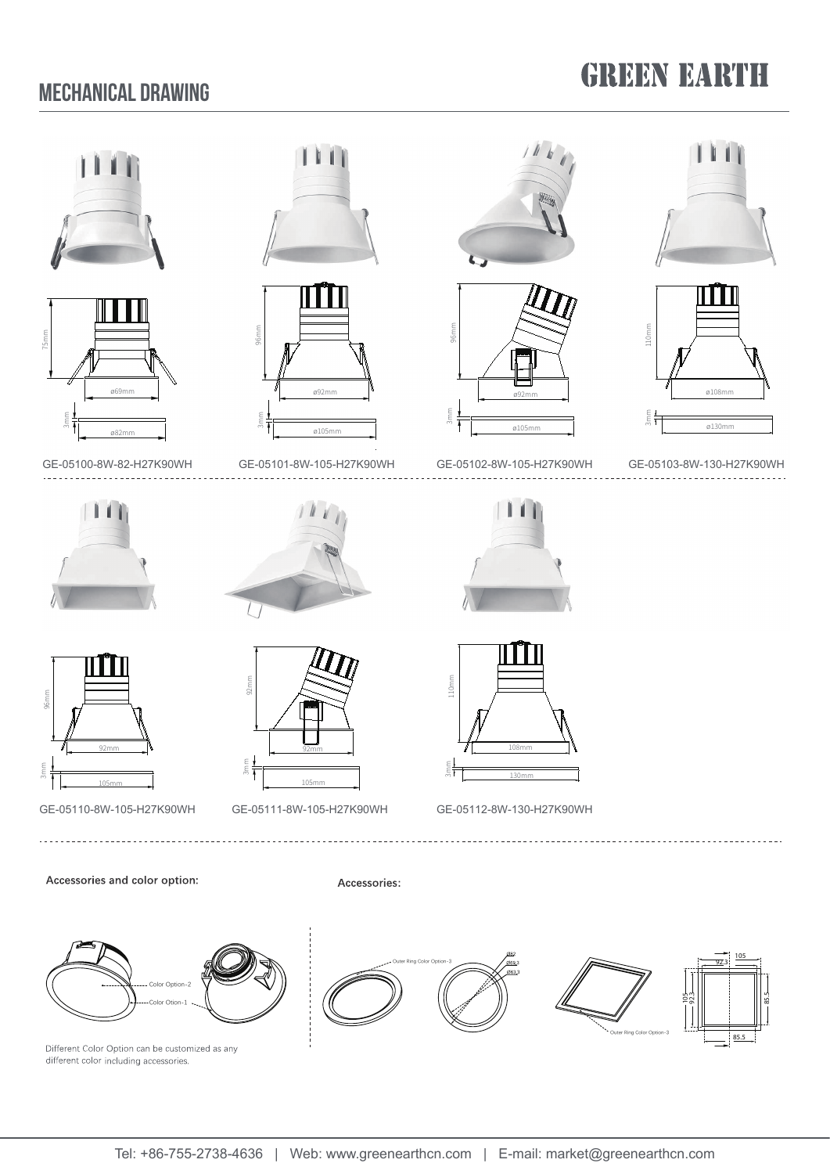### Mechanical Drawing

## **GREEN EARTH**

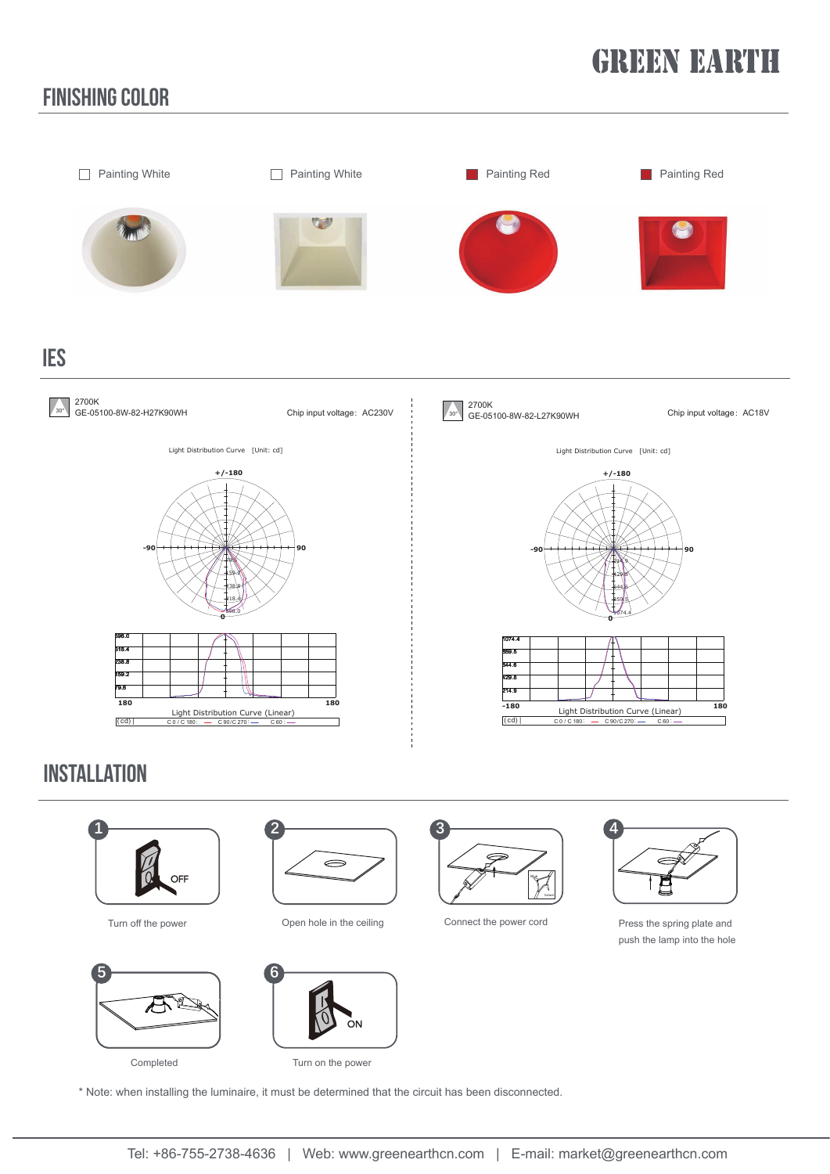# **GREEN BARTH**

### finishing color



### **INSTALLATION**





Completed





Turn on the power





Turn off the power **Connect the power cord** Press the spring plate and Connect the power cord Press the spring plate and push the lamp into the hole

\* Note: when installing the luminaire, it must be determined that the circuit has been disconnected.